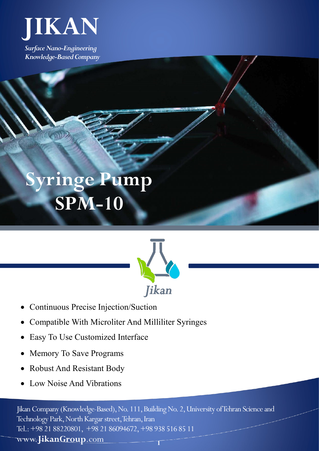

*Surface Nano-Engineering Knowledge-Based Company*

## **Syringe Pump SPM-10**



- Continuous Precise Injection/Suction
- Compatible With Microliter And Milliliter Syringes
- Easy To Use Customized Interface
- Memory To Save Programs
- Robust And Resistant Body
- Low Noise And Vibrations

Jikan Company (Knowledge-Based), No. 111, Building No. 2, University of Tehran Science and Technology Park, North Kargar street, Tehran, Iran Tel.: +98 21 88220801, +98 21 86094672, +98 938 516 85 11 www.**JikanGroup**.com **1**